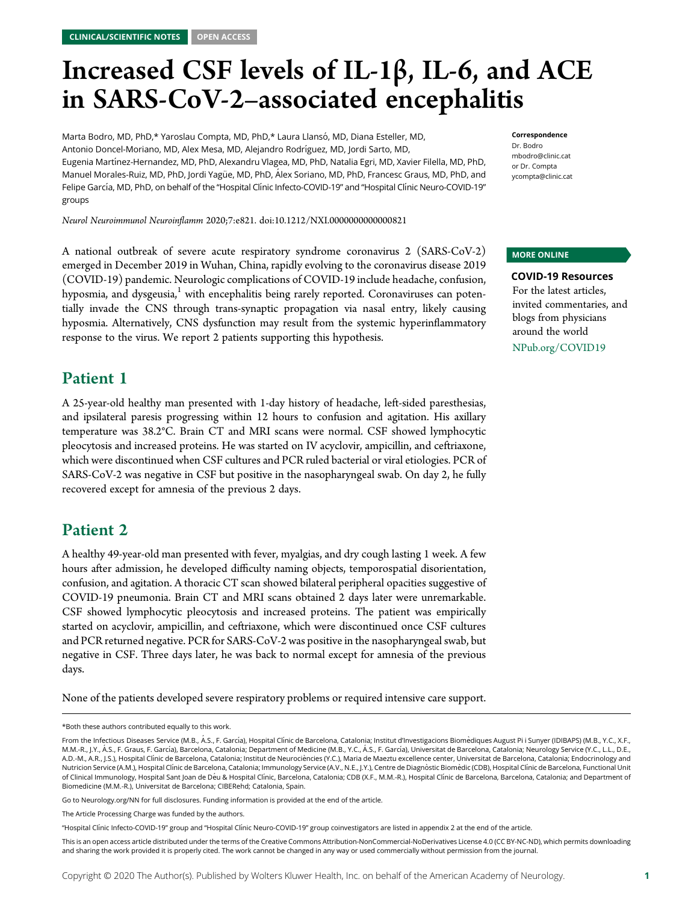# Increased CSF levels of IL-1β, IL-6, and ACE in SARS-CoV-2–associated encephalitis

Marta Bodro, MD, PhD,\* Yaroslau Compta, MD, PhD,\* Laura Llansó, MD, Diana Esteller, MD, Antonio Doncel-Moriano, MD, Alex Mesa, MD, Alejandro Rodríguez, MD, Jordi Sarto, MD, Eugenia Martínez-Hernandez, MD, PhD, Alexandru Vlagea, MD, PhD, Natalia Egri, MD, Xavier Filella, MD, PhD, Manuel Morales-Ruiz, MD, PhD, Jordi Yagüe, MD, PhD, Alex Soriano, MD, PhD, Francesc Graus, MD, PhD, and Felipe García, MD, PhD, on behalf of the "Hospital Clínic Infecto-COVID-19" and "Hospital Clínic Neuro-COVID-19" groups

A national outbreak of severe acute respiratory syndrome coronavirus 2 (SARS-CoV-2) emerged in December 2019 in Wuhan, China, rapidly evolving to the coronavirus disease 2019

Neurol Neuroimmunol Neuroinflamm 2020;7:e821. doi[:10.1212/NXI.0000000000000821](http://dx.doi.org/10.1212/NXI.0000000000000821)

#### Correspondence

Dr. Bodro [mbodro@clinic.cat](mailto:mbodro@clinic.cat) or Dr. Compta [ycompta@clinic.cat](mailto:ycompta@clinic.cat)

#### MORE ONLINE

COVID-19 Resources For the latest articles, invited commentaries, and blogs from physicians around the world [NPub.org/COVID19](http://NPub.org/COVID19)

(COVID-19) pandemic. Neurologic complications of COVID-19 include headache, confusion, hyposmia, and dysgeusia, $1$  with encephalitis being rarely reported. Coronaviruses can potentially invade the CNS through trans-synaptic propagation via nasal entry, likely causing hyposmia. Alternatively, CNS dysfunction may result from the systemic hyperinflammatory response to the virus. We report 2 patients supporting this hypothesis.

# Patient 1

A 25-year-old healthy man presented with 1-day history of headache, left-sided paresthesias, and ipsilateral paresis progressing within 12 hours to confusion and agitation. His axillary temperature was 38.2°C. Brain CT and MRI scans were normal. CSF showed lymphocytic pleocytosis and increased proteins. He was started on IV acyclovir, ampicillin, and ceftriaxone, which were discontinued when CSF cultures and PCR ruled bacterial or viral etiologies. PCR of SARS-CoV-2 was negative in CSF but positive in the nasopharyngeal swab. On day 2, he fully recovered except for amnesia of the previous 2 days.

# Patient 2

A healthy 49-year-old man presented with fever, myalgias, and dry cough lasting 1 week. A few hours after admission, he developed difficulty naming objects, temporospatial disorientation, confusion, and agitation. A thoracic CT scan showed bilateral peripheral opacities suggestive of COVID-19 pneumonia. Brain CT and MRI scans obtained 2 days later were unremarkable. CSF showed lymphocytic pleocytosis and increased proteins. The patient was empirically started on acyclovir, ampicillin, and ceftriaxone, which were discontinued once CSF cultures and PCR returned negative. PCR for SARS-CoV-2 was positive in the nasopharyngeal swab, but negative in CSF. Three days later, he was back to normal except for amnesia of the previous days.

None of the patients developed severe respiratory problems or required intensive care support.

Go to [Neurology.org/NN](https://nn.neurology.org/content/7/5/e821/tab-article-info) for full disclosures. Funding information is provided at the end of the article.

This is an open access article distributed under the terms of the [Creative Commons Attribution-NonCommercial-NoDerivatives License 4.0 \(CC BY-NC-ND\),](http://creativecommons.org/licenses/by-nc-nd/4.0/) which permits downloading and sharing the work provided it is properly cited. The work cannot be changed in any way or used commercially without permission from the journal.

<sup>\*</sup>Both these authors contributed equally to this work.

From the Infectious Diseases Service (M.B., Á.S., F. García), Hospital Clínic de Barcelona, Catalonia; Institut d'Investigacions Biomèdiques August Pi i Sunyer (IDIBAPS) (M.B., Y.C., X.F., M.M.-R., J.Y., Á.S., F. Graus, F. García), Barcelona, Catalonia; Department of Medicine (M.B., Y.C., Á.S., F. García), Universitat de Barcelona, Catalonia; Neurology Service (Y.C., L.L., D.E., A.D.-M., A.R., J.S.), Hospital Clínic de Barcelona, Catalonia; Institut de Neurociències (Y.C.), Maria de Maeztu excellence center, Universitat de Barcelona, Catalonia; Endocrinology and Nutricion Service (A.M.), Hospital Clínic de Barcelona, Catalonia; Immunology Service (A.V., N.E., J.Y.), Centre de Diagnòstic Biomèdic (CDB), Hospital Clínic de Barcelona, Functional Unit of Clinical Immunology, Hospital Sant Joan de D´eu & Hospital Cl´ınic, Barcelona, Catalonia; CDB (X.F., M.M.-R.), Hospital Cl´ınic de Barcelona, Barcelona, Catalonia; and Department of Biomedicine (M.M.-R.), Universitat de Barcelona; CIBERehd; Catalonia, Spain.

The Article Processing Charge was funded by the authors.

<sup>&</sup>quot;Hospital Clínic Infecto-COVID-19" group and "Hospital Clínic Neuro-COVID-19" group coinvestigators are listed in appendix 2 at the end of the article.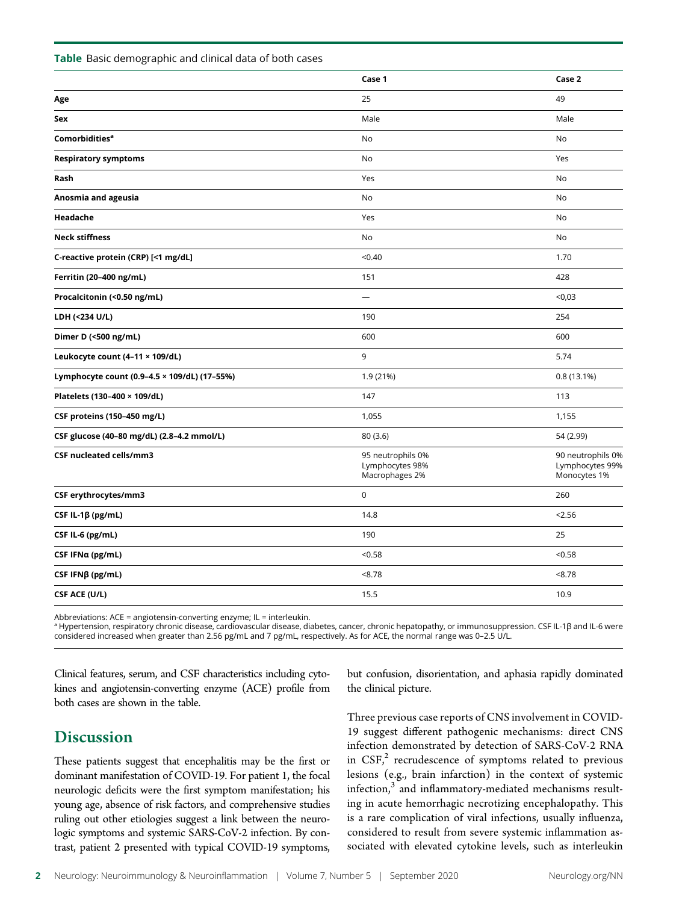|                                              | Case 1                                                 | Case 2                                               |
|----------------------------------------------|--------------------------------------------------------|------------------------------------------------------|
| Age                                          | 25                                                     | 49                                                   |
| Sex                                          | Male                                                   | Male                                                 |
| Comorbidities <sup>a</sup>                   | <b>No</b>                                              | No                                                   |
| <b>Respiratory symptoms</b>                  | No                                                     | Yes                                                  |
| Rash                                         | Yes                                                    | No                                                   |
| Anosmia and ageusia                          | No                                                     | No                                                   |
| Headache                                     | Yes                                                    | No                                                   |
| <b>Neck stiffness</b>                        | No                                                     | No                                                   |
| C-reactive protein (CRP) [<1 mg/dL]          | < 0.40                                                 | 1.70                                                 |
| Ferritin (20-400 ng/mL)                      | 151                                                    | 428                                                  |
| Procalcitonin (<0.50 ng/mL)                  | $\overline{\phantom{0}}$                               | < 0.03                                               |
| LDH (<234 U/L)                               | 190                                                    | 254                                                  |
| Dimer D (<500 ng/mL)                         | 600                                                    | 600                                                  |
| Leukocyte count (4-11 × 109/dL)              | 9                                                      | 5.74                                                 |
| Lymphocyte count (0.9-4.5 × 109/dL) (17-55%) | 1.9 (21%)                                              | 0.8(13.1%)                                           |
| Platelets (130-400 × 109/dL)                 | 147                                                    | 113                                                  |
| CSF proteins (150-450 mg/L)                  | 1,055                                                  | 1,155                                                |
| CSF glucose (40-80 mg/dL) (2.8-4.2 mmol/L)   | 80 (3.6)                                               | 54 (2.99)                                            |
| CSF nucleated cells/mm3                      | 95 neutrophils 0%<br>Lymphocytes 98%<br>Macrophages 2% | 90 neutrophils 0%<br>Lymphocytes 99%<br>Monocytes 1% |
| CSF erythrocytes/mm3                         | $\mathsf 0$                                            | 260                                                  |
| CSF IL-1 $\beta$ (pg/mL)                     | 14.8                                                   | 2.56                                                 |
| CSF IL-6 (pg/mL)                             | 190                                                    | 25                                                   |
| CSF IFNa (pg/mL)                             | < 0.58                                                 | < 0.58                                               |
| CSF IFNβ (pg/mL)                             | < 8.78                                                 | < 8.78                                               |
| CSF ACE (U/L)                                | 15.5                                                   | 10.9                                                 |

Abbreviations: ACE = angiotensin-converting enzyme; IL = interleukin.

<sup>a</sup> Hypertension, respiratory chronic disease, cardiovascular disease, diabetes, cancer, chronic hepatopathy, or immunosuppression. CSF IL-1β and IL-6 were considered increased when greater than 2.56 pg/mL and 7 pg/mL, respectively. As for ACE, the normal range was 0–2.5 U/L.

Clinical features, serum, and CSF characteristics including cytokines and angiotensin-converting enzyme (ACE) profile from both cases are shown in the table.

# **Discussion**

These patients suggest that encephalitis may be the first or dominant manifestation of COVID-19. For patient 1, the focal neurologic deficits were the first symptom manifestation; his young age, absence of risk factors, and comprehensive studies ruling out other etiologies suggest a link between the neurologic symptoms and systemic SARS-CoV-2 infection. By contrast, patient 2 presented with typical COVID-19 symptoms,

but confusion, disorientation, and aphasia rapidly dominated the clinical picture.

Three previous case reports of CNS involvement in COVID-19 suggest different pathogenic mechanisms: direct CNS infection demonstrated by detection of SARS-CoV-2 RNA in  $CSF<sub>1</sub><sup>2</sup>$  recrudescence of symptoms related to previous lesions (e.g., brain infarction) in the context of systemic infection, $3$  and inflammatory-mediated mechanisms resulting in acute hemorrhagic necrotizing encephalopathy. This is a rare complication of viral infections, usually influenza, considered to result from severe systemic inflammation associated with elevated cytokine levels, such as interleukin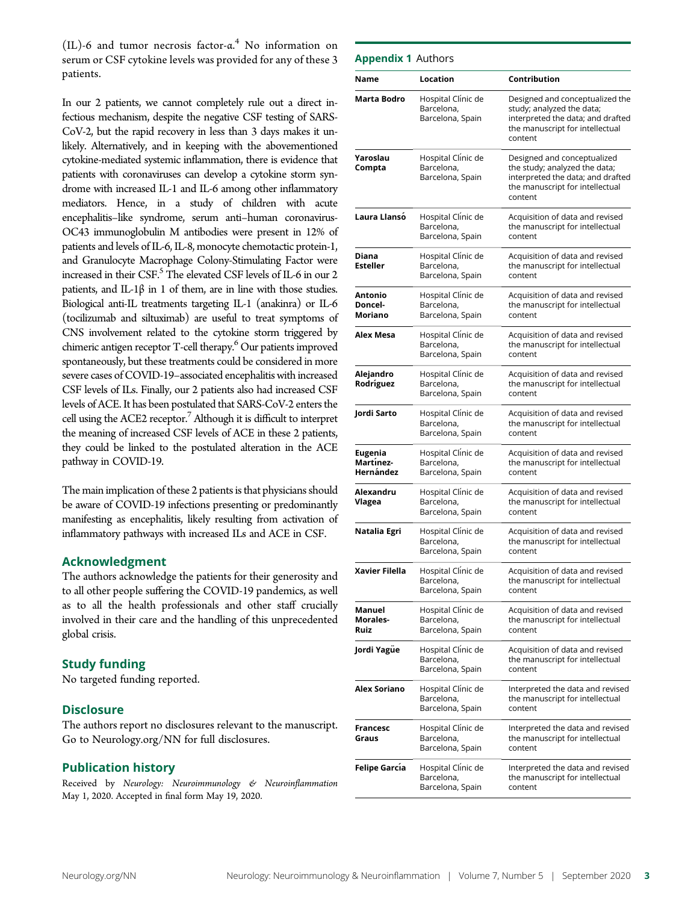(IL)-6 and tumor necrosis factor-α. <sup>4</sup> No information on serum or CSF cytokine levels was provided for any of these 3 patients.

In our 2 patients, we cannot completely rule out a direct infectious mechanism, despite the negative CSF testing of SARS-CoV-2, but the rapid recovery in less than 3 days makes it unlikely. Alternatively, and in keeping with the abovementioned cytokine-mediated systemic inflammation, there is evidence that patients with coronaviruses can develop a cytokine storm syndrome with increased IL-1 and IL-6 among other inflammatory mediators. Hence, in a study of children with acute encephalitis–like syndrome, serum anti–human coronavirus-OC43 immunoglobulin M antibodies were present in 12% of patients and levels of IL-6, IL-8, monocyte chemotactic protein-1, and Granulocyte Macrophage Colony-Stimulating Factor were increased in their  $\text{CSF.}^5$  The elevated CSF levels of IL-6 in our 2 patients, and IL-1 $\beta$  in 1 of them, are in line with those studies. Biological anti-IL treatments targeting IL-1 (anakinra) or IL-6 (tocilizumab and siltuximab) are useful to treat symptoms of CNS involvement related to the cytokine storm triggered by chimeric antigen receptor T-cell therapy.<sup>6</sup> Our patients improved spontaneously, but these treatments could be considered in more severe cases of COVID-19–associated encephalitis with increased CSF levels of ILs. Finally, our 2 patients also had increased CSF levels of ACE. It has been postulated that SARS-CoV-2 enters the cell using the ACE2 receptor.<sup>7</sup> Although it is difficult to interpret the meaning of increased CSF levels of ACE in these 2 patients, they could be linked to the postulated alteration in the ACE pathway in COVID-19.

The main implication of these 2 patients is that physicians should be aware of COVID-19 infections presenting or predominantly manifesting as encephalitis, likely resulting from activation of inflammatory pathways with increased ILs and ACE in CSF.

#### Acknowledgment

The authors acknowledge the patients for their generosity and to all other people suffering the COVID-19 pandemics, as well as to all the health professionals and other staff crucially involved in their care and the handling of this unprecedented global crisis.

#### Study funding

No targeted funding reported.

#### **Disclosure**

The authors report no disclosures relevant to the manuscript. Go to [Neurology.org/NN](https://nn.neurology.org/content/7/5/e821/tab-article-info) for full disclosures.

#### Publication history

Received by Neurology: Neuroimmunology & Neuroinflammation May 1, 2020. Accepted in final form May 19, 2020.

| Name                                     | Location                                             | Contribution                                                                                                                                    |
|------------------------------------------|------------------------------------------------------|-------------------------------------------------------------------------------------------------------------------------------------------------|
| Marta Bodro                              | Hospital Clinic de<br>Barcelona,<br>Barcelona, Spain | Designed and conceptualized the<br>study; analyzed the data;<br>interpreted the data; and drafted<br>the manuscript for intellectual<br>content |
| Yaroslau<br>Compta                       | Hospital Clinic de<br>Barcelona,<br>Barcelona, Spain | Designed and conceptualized<br>the study; analyzed the data;<br>interpreted the data; and drafted<br>the manuscript for intellectual<br>content |
| Laura Llansó                             | Hospital Clínic de<br>Barcelona,<br>Barcelona, Spain | Acquisition of data and revised<br>the manuscript for intellectual<br>content                                                                   |
| Diana<br><b>Esteller</b>                 | Hospital Clínic de<br>Barcelona,<br>Barcelona, Spain | Acquisition of data and revised<br>the manuscript for intellectual<br>content                                                                   |
| Antonio<br>Doncel-<br>Moriano            | Hospital Clinic de<br>Barcelona,<br>Barcelona, Spain | Acquisition of data and revised<br>the manuscript for intellectual<br>content                                                                   |
| Alex Mesa                                | Hospital Clinic de<br>Barcelona,<br>Barcelona, Spain | Acquisition of data and revised<br>the manuscript for intellectual<br>content                                                                   |
| Alejandro<br>Rodríguez                   | Hospital Clinic de<br>Barcelona,<br>Barcelona, Spain | Acquisition of data and revised<br>the manuscript for intellectual<br>content                                                                   |
| Jordi Sarto                              | Hospital Clinic de<br>Barcelona,<br>Barcelona, Spain | Acquisition of data and revised<br>the manuscript for intellectual<br>content                                                                   |
| <b>Eugenia</b><br>Martínez-<br>Hernández | Hospital Clinic de<br>Barcelona,<br>Barcelona, Spain | Acquisition of data and revised<br>the manuscript for intellectual<br>content                                                                   |
| Alexandru<br>Vlagea                      | Hospital Clínic de<br>Barcelona,<br>Barcelona, Spain | Acquisition of data and revised<br>the manuscript for intellectual<br>content                                                                   |
| Natalia Egri                             | Hospital Clínic de<br>Barcelona.<br>Barcelona, Spain | Acquisition of data and revised<br>the manuscript for intellectual<br>content                                                                   |
| Xavier Filella                           | Hospital Clínic de<br>Barcelona,<br>Barcelona, Spain | Acquisition of data and revised<br>the manuscript for intellectual<br>content                                                                   |
| Manuel<br>Morales-<br>Ruiz               | Hospital Clinic de<br>Barcelona,<br>Barcelona, Spain | Acquisition of data and revised<br>the manuscript for intellectual<br>content                                                                   |
| Jordi Yagüe                              | Hospital Clinic de<br>Barcelona,<br>Barcelona, Spain | Acquisition of data and revised<br>the manuscript for intellectual<br>content                                                                   |
| Alex Soriano                             | Hospital Clinic de<br>Barcelona,<br>Barcelona, Spain | Interpreted the data and revised<br>the manuscript for intellectual<br>content                                                                  |
| Francesc<br>Graus                        | Hospital Clinic de<br>Barcelona,<br>Barcelona, Spain | Interpreted the data and revised<br>the manuscript for intellectual<br>content                                                                  |
| <b>Felipe García</b>                     | Hospital Clínic de                                   | Interpreted the data and revised                                                                                                                |

Barcelona, Barcelona, Spain

the manuscript for intellectual

content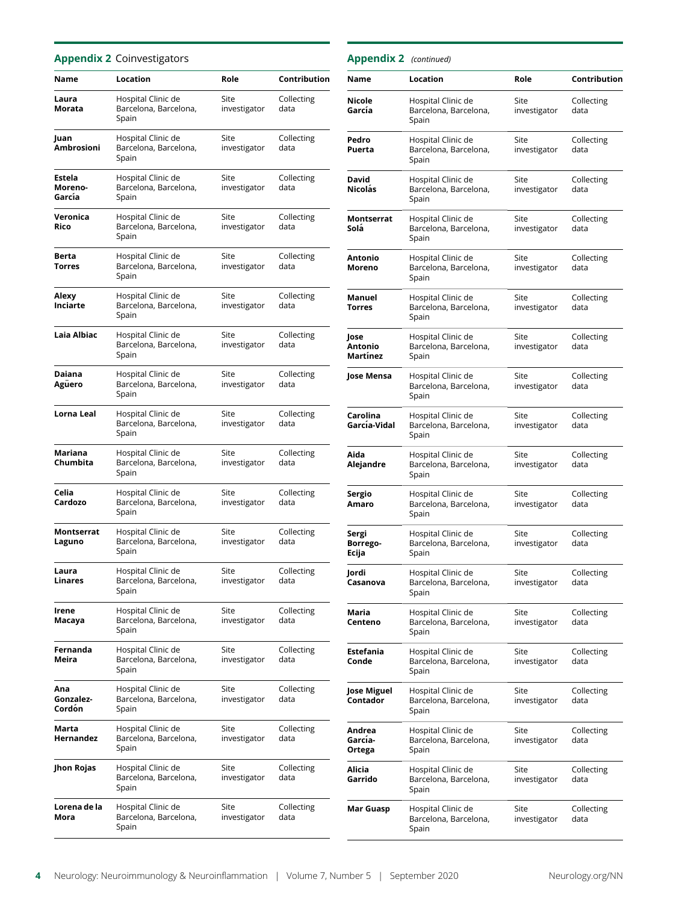#### Appendix 2 Coinvestigators

| Name                        | Location                                             | Role                 | Contribution       |
|-----------------------------|------------------------------------------------------|----------------------|--------------------|
| Laura<br>Morata             | Hospital Clinic de<br>Barcelona, Barcelona,<br>Spain | Site<br>investigator | Collecting<br>data |
| Juan<br>Ambrosioni          | Hospital Clinic de<br>Barcelona, Barcelona,<br>Spain | Site<br>investigator | Collecting<br>data |
| Estela<br>Moreno-<br>García | Hospital Clinic de<br>Barcelona, Barcelona,<br>Spain | Site<br>investigator | Collecting<br>data |
| Veronica<br>Rico            | Hospital Clinic de<br>Barcelona, Barcelona,<br>Spain | Site<br>investigator | Collecting<br>data |
| Berta<br><b>Torres</b>      | Hospital Clinic de<br>Barcelona, Barcelona,<br>Spain | Site<br>investigator | Collecting<br>data |
| Alexy<br>Inciarte           | Hospital Clinic de<br>Barcelona, Barcelona,<br>Spain | Site<br>investigator | Collecting<br>data |
| Laia Albiac                 | Hospital Clinic de<br>Barcelona, Barcelona,<br>Spain | Site<br>investigator | Collecting<br>data |
| Daiana<br>Agüero            | Hospital Clinic de<br>Barcelona, Barcelona,<br>Spain | Site<br>investigator | Collecting<br>data |
| Lorna Leal                  | Hospital Clinic de<br>Barcelona, Barcelona,<br>Spain | Site<br>investigator | Collecting<br>data |
| Mariana<br>Chumbita         | Hospital Clinic de<br>Barcelona, Barcelona,<br>Spain | Site<br>investigator | Collecting<br>data |
| Celia<br>Cardozo            | Hospital Clinic de<br>Barcelona, Barcelona,<br>Spain | Site<br>investigator | Collecting<br>data |
| Montserrat<br>Laguno        | Hospital Clinic de<br>Barcelona, Barcelona,<br>Spain | Site<br>investigator | Collecting<br>data |
| Laura<br>Linares            | Hospital Clinic de<br>Barcelona, Barcelona<br>Spain  | Site<br>investigator | Collecting<br>data |
| Irene<br>Macaya             | Hospital Clinic de<br>Barcelona, Barcelona,<br>Spain | Site<br>investigator | Collecting<br>data |
| Fernanda<br>Meira           | Hospital Clinic de<br>Barcelona, Barcelona,<br>Spain | Site<br>investigator | Collecting<br>data |
| Ana<br>Gonzalez-<br>Cordón  | Hospital Clinic de<br>Barcelona, Barcelona,<br>Spain | Site<br>investigator | Collecting<br>data |
| Marta<br>Hernandez          | Hospital Clinic de<br>Barcelona, Barcelona,<br>Spain | Site<br>investigator | Collecting<br>data |
| Jhon Rojas                  | Hospital Clinic de<br>Barcelona, Barcelona,<br>Spain | Site<br>investigator | Collecting<br>data |
| Lorena de la<br>Mora        | Hospital Clinic de<br>Barcelona, Barcelona,<br>Spain | Site<br>investigator | Collecting<br>data |

| <b>Appendix 2</b> (continued) |                                                      |                      |                    |
|-------------------------------|------------------------------------------------------|----------------------|--------------------|
| Name                          | Location                                             | Role                 | Contribution       |
| Nicole<br>García              | Hospital Clinic de<br>Barcelona, Barcelona,<br>Spain | Site<br>investigator | Collecting<br>data |
| Pedro<br>Puerta               | Hospital Clinic de<br>Barcelona, Barcelona,<br>Spain | Site<br>investigator | Collecting<br>data |
| David<br>Nicolás              | Hospital Clinic de<br>Barcelona, Barcelona,<br>Spain | Site<br>investigator | Collecting<br>data |
| Montserrat<br>Solá            | Hospital Clinic de<br>Barcelona, Barcelona,<br>Spain | Site<br>investigator | Collecting<br>data |
| Antonio<br>Moreno             | Hospital Clinic de<br>Barcelona, Barcelona,<br>Spain | Site<br>investigator | Collecting<br>data |
| Manuel<br>Torres              | Hospital Clinic de<br>Barcelona, Barcelona,<br>Spain | Site<br>investigator | Collecting<br>data |
| Jose<br>Antonio<br>Martínez   | Hospital Clinic de<br>Barcelona, Barcelona,<br>Spain | Site<br>investigator | Collecting<br>data |
| Jose Mensa                    | Hospital Clinic de<br>Barcelona, Barcelona,<br>Spain | Site<br>investigator | Collecting<br>data |
| Carolina<br>García-Vidal      | Hospital Clinic de<br>Barcelona, Barcelona,<br>Spain | Site<br>investigator | Collecting<br>data |
| Aida<br>Alejandre             | Hospital Clinic de<br>Barcelona, Barcelona,<br>Spain | Site<br>investigator | Collecting<br>data |
| Sergio<br>Amaro               | Hospital Clinic de<br>Barcelona, Barcelona,<br>Spain | Site<br>investigator | Collecting<br>data |
| Sergi<br>Borrego-<br>Ecija    | Hospital Clinic de<br>Barcelona, Barcelona,<br>Spain | Site<br>investigator | Collecting<br>data |
| Jordi<br>Casanova             | Hospital Clinic de<br>Barcelona, Barcelona,<br>Spain | Site<br>investigator | Collecting<br>data |
| Maria<br>Centeno              | Hospital Clinic de<br>Barcelona, Barcelona,<br>Spain | Site<br>investigator | Collecting<br>data |
| Estefania<br>Conde            | Hospital Clinic de<br>Barcelona, Barcelona,<br>Spain | Site<br>investigator | Collecting<br>data |
| Jose Miguel<br>Contador       | Hospital Clinic de<br>Barcelona, Barcelona,<br>Spain | Site<br>investigator | Collecting<br>data |
| Andrea<br>García-<br>Ortega   | Hospital Clinic de<br>Barcelona, Barcelona,<br>Spain | Site<br>investigator | Collecting<br>data |
| Alicia<br>Garrido             | Hospital Clinic de<br>Barcelona, Barcelona,<br>Spain | Site<br>investigator | Collecting<br>data |
| Mar Guasp                     | Hospital Clinic de<br>Barcelona, Barcelona,<br>Spain | Site<br>investigator | Collecting<br>data |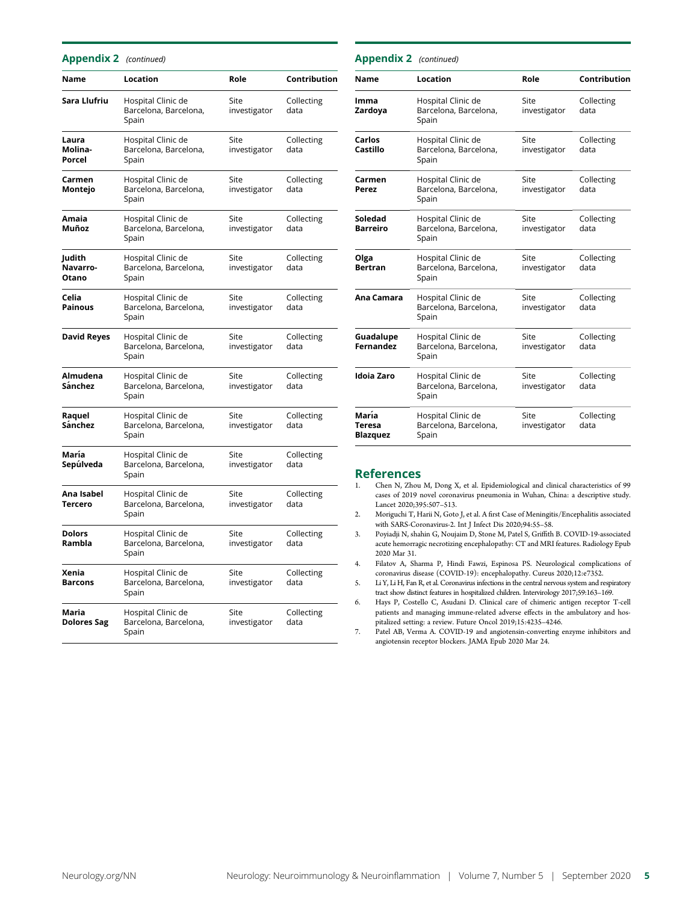| <b>Appendix 2</b> (continued) |                                                      |                      |                    |
|-------------------------------|------------------------------------------------------|----------------------|--------------------|
| Name                          | Location                                             | Role                 | Contribution       |
| Sara Llufriu                  | Hospital Clinic de<br>Barcelona, Barcelona,<br>Spain | Site<br>investigator | Collecting<br>data |
| Laura<br>Molina-<br>Porcel    | Hospital Clinic de<br>Barcelona, Barcelona,<br>Spain | Site<br>investigator | Collecting<br>data |
| Carmen<br>Montejo             | Hospital Clinic de<br>Barcelona, Barcelona,<br>Spain | Site<br>investigator | Collecting<br>data |
| Amaia<br>Muñoz                | Hospital Clinic de<br>Barcelona, Barcelona,<br>Spain | Site<br>investigator | Collecting<br>data |
| Judith<br>Navarro-<br>Otano   | Hospital Clinic de<br>Barcelona, Barcelona,<br>Spain | Site<br>investigator | Collecting<br>data |
| Celia<br><b>Painous</b>       | Hospital Clinic de<br>Barcelona, Barcelona,<br>Spain | Site<br>investigator | Collecting<br>data |
| <b>David Reyes</b>            | Hospital Clinic de<br>Barcelona, Barcelona,<br>Spain | Site<br>investigator | Collecting<br>data |
| Almudena<br>Sánchez           | Hospital Clinic de<br>Barcelona, Barcelona,<br>Spain | Site<br>investigator | Collecting<br>data |
| Raquel<br>Sánchez             | Hospital Clinic de<br>Barcelona, Barcelona,<br>Spain | Site<br>investigator | Collecting<br>data |
| María<br>Sepúlveda            | Hospital Clinic de<br>Barcelona, Barcelona,<br>Spain | Site<br>investigator | Collecting<br>data |
| Ana Isabel<br>Tercero         | Hospital Clinic de<br>Barcelona, Barcelona,<br>Spain | Site<br>investigator | Collecting<br>data |
| <b>Dolors</b><br>Rambla       | Hospital Clinic de<br>Barcelona, Barcelona,<br>Spain | Site<br>investigator | Collecting<br>data |
| Xenia<br><b>Barcons</b>       | Hospital Clinic de<br>Barcelona, Barcelona,<br>Spain | Site<br>investigator | Collecting<br>data |
| Maria<br><b>Dolores Sag</b>   | Hospital Clinic de<br>Barcelona, Barcelona,<br>Spain | Site<br>investigator | Collecting<br>data |

| <b>Appendix 2</b> (continued)      |                                                      |                      |                     |
|------------------------------------|------------------------------------------------------|----------------------|---------------------|
| Name                               | Location                                             | Role                 | <b>Contribution</b> |
| Imma<br>Zardoya                    | Hospital Clinic de<br>Barcelona, Barcelona,<br>Spain | Site<br>investigator | Collecting<br>data  |
| Carlos<br>Castillo                 | Hospital Clinic de<br>Barcelona, Barcelona,<br>Spain | Site<br>investigator | Collecting<br>data  |
| Carmen<br>Perez                    | Hospital Clinic de<br>Barcelona, Barcelona,<br>Spain | Site<br>investigator | Collecting<br>data  |
| Soledad<br><b>Barreiro</b>         | Hospital Clinic de<br>Barcelona, Barcelona,<br>Spain | Site<br>investigator | Collecting<br>data  |
| Olga<br><b>Bertran</b>             | Hospital Clinic de<br>Barcelona, Barcelona,<br>Spain | Site<br>investigator | Collecting<br>data  |
| Ana Camara                         | Hospital Clinic de<br>Barcelona, Barcelona,<br>Spain | Site<br>investigator | Collecting<br>data  |
| Guadalupe<br><b>Fernandez</b>      | Hospital Clinic de<br>Barcelona, Barcelona,<br>Spain | Site<br>investigator | Collecting<br>data  |
| <b>Idoia Zaro</b>                  | Hospital Clinic de<br>Barcelona, Barcelona,<br>Spain | Site<br>investigator | Collecting<br>data  |
| María<br>Teresa<br><b>Blazquez</b> | Hospital Clinic de<br>Barcelona, Barcelona,<br>Spain | Site<br>investigator | Collecting<br>data  |

# **References**<br>1. Chen N. Zhou

- 1. Chen N, Zhou M, Dong X, et al. Epidemiological and clinical characteristics of 99 cases of 2019 novel coronavirus pneumonia in Wuhan, China: a descriptive study. Lancet 2020;395:507–513.
- 2. Moriguchi T, Harii N, Goto J, et al. A first Case of Meningitis/Encephalitis associated with SARS-Coronavirus-2. Int J Infect Dis 2020;94:55–58.
- 3. Poyiadji N, shahin G, Noujaim D, Stone M, Patel S, Griffith B. COVID-19-associated acute hemorragic necrotizing encephalopathy: CT and MRI features. Radiology Epub 2020 Mar 31.
- 4. Filatov A, Sharma P, Hindi Fawzi, Espinosa PS. Neurological complications of coronavirus disease (COVID-19): encephalopathy. Cureus 2020;12:e7352.
- 5. Li Y, Li H, Fan R, et al. Coronavirus infections in the central nervous system and respiratory tract show distinct features in hospitalized children. Intervirology 2017;59:163–169.
- 6. Hays P, Costello C, Asudani D. Clinical care of chimeric antigen receptor T-cell patients and managing immune-related adverse effects in the ambulatory and hospitalized setting: a review. Future Oncol 2019;15:4235–4246.
- 7. Patel AB, Verma A. COVID-19 and angiotensin-converting enzyme inhibitors and angiotensin receptor blockers. JAMA Epub 2020 Mar 24.